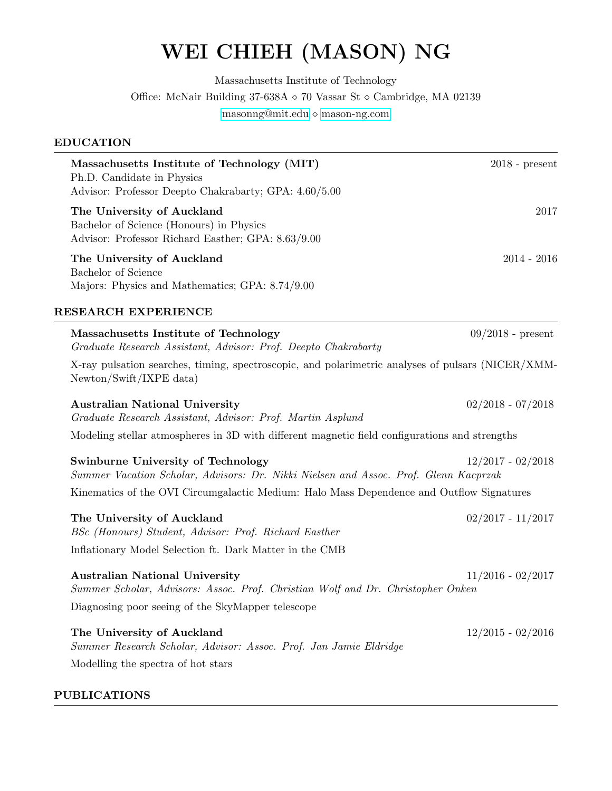# WEI CHIEH (MASON) NG

Massachusetts Institute of Technology

Office: McNair Building 37-638A  $\diamond$  70 Vassar St  $\diamond$  Cambridge, MA 02139

[masonng@mit.edu](mailto:masonng@mit.edu)  $\diamond$ [mason-ng.com](http://mason-ng.com)

### EDUCATION

| Massachusetts Institute of Technology (MIT)<br>Ph.D. Candidate in Physics<br>Advisor: Professor Deepto Chakrabarty; GPA: 4.60/5.00                                            | $2018$ - present    |
|-------------------------------------------------------------------------------------------------------------------------------------------------------------------------------|---------------------|
| The University of Auckland<br>Bachelor of Science (Honours) in Physics<br>Advisor: Professor Richard Easther; GPA: 8.63/9.00                                                  | 2017                |
| The University of Auckland<br>Bachelor of Science<br>Majors: Physics and Mathematics; GPA: 8.74/9.00                                                                          | $2014 - 2016$       |
| RESEARCH EXPERIENCE                                                                                                                                                           |                     |
| Massachusetts Institute of Technology<br>Graduate Research Assistant, Advisor: Prof. Deepto Chakrabarty                                                                       | $09/2018$ - present |
| X-ray pulsation searches, timing, spectroscopic, and polarimetric analyses of pulsars (NICER/XMM-<br>Newton/Swift/IXPE data)                                                  |                     |
| <b>Australian National University</b><br>Graduate Research Assistant, Advisor: Prof. Martin Asplund                                                                           | $02/2018 - 07/2018$ |
| Modeling stellar atmospheres in 3D with different magnetic field configurations and strengths                                                                                 |                     |
| <b>Swinburne University of Technology</b><br>Summer Vacation Scholar, Advisors: Dr. Nikki Nielsen and Assoc. Prof. Glenn Kacprzak                                             | $12/2017 - 02/2018$ |
| Kinematics of the OVI Circumgalactic Medium: Halo Mass Dependence and Outflow Signatures                                                                                      |                     |
| The University of Auckland<br>BSc (Honours) Student, Advisor: Prof. Richard Easther                                                                                           | $02/2017 - 11/2017$ |
| Inflationary Model Selection ft. Dark Matter in the CMB                                                                                                                       |                     |
| <b>Australian National University</b><br>Summer Scholar, Advisors: Assoc. Prof. Christian Wolf and Dr. Christopher Onken<br>Diagnosing poor seeing of the SkyMapper telescope | $11/2016 - 02/2017$ |
| The University of Auckland<br>Summer Research Scholar, Advisor: Assoc. Prof. Jan Jamie Eldridge<br>Modelling the spectra of hot stars                                         | $12/2015 - 02/2016$ |

## PUBLICATIONS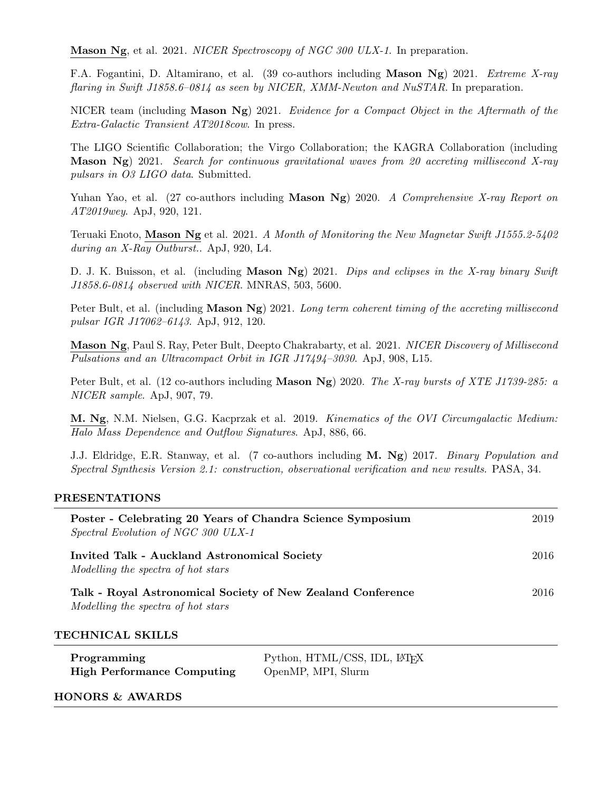Mason Ng, et al. 2021. NICER Spectroscopy of NGC 300 ULX-1. In preparation.

F.A. Fogantini, D. Altamirano, et al. (39 co-authors including Mason Ng) 2021. Extreme X-ray flaring in Swift J1858.6–0814 as seen by NICER, XMM-Newton and NuSTAR. In preparation.

NICER team (including Mason Ng) 2021. Evidence for a Compact Object in the Aftermath of the Extra-Galactic Transient AT2018cow. In press.

The LIGO Scientific Collaboration; the Virgo Collaboration; the KAGRA Collaboration (including Mason Ng) 2021. Search for continuous gravitational waves from 20 accreting millisecond X-ray pulsars in O3 LIGO data. Submitted.

Yuhan Yao, et al. (27 co-authors including **Mason Ng**) 2020. A Comprehensive X-ray Report on AT2019wey. ApJ, 920, 121.

Teruaki Enoto, Mason Ng et al. 2021. A Month of Monitoring the New Magnetar Swift J1555.2-5402 during an X-Ray Outburst.. ApJ, 920, L4.

D. J. K. Buisson, et al. (including **Mason Ng**) 2021. *Dips and eclipses in the X-ray binary Swift* J1858.6-0814 observed with NICER. MNRAS, 503, 5600.

Peter Bult, et al. (including **Mason Ng**) 2021. Long term coherent timing of the accreting millisecond pulsar IGR J17062–6143. ApJ, 912, 120.

Mason Ng, Paul S. Ray, Peter Bult, Deepto Chakrabarty, et al. 2021. NICER Discovery of Millisecond Pulsations and an Ultracompact Orbit in IGR J17494–3030. ApJ, 908, L15.

Peter Bult, et al. (12 co-authors including **Mason Ng**) 2020. The X-ray bursts of XTE J1739-285: a NICER sample. ApJ, 907, 79.

M. Ng, N.M. Nielsen, G.G. Kacprzak et al. 2019. Kinematics of the OVI Circumgalactic Medium: Halo Mass Dependence and Outflow Signatures. ApJ, 886, 66.

J.J. Eldridge, E.R. Stanway, et al. (7 co-authors including M. Ng) 2017. Binary Population and Spectral Synthesis Version 2.1: construction, observational verification and new results. PASA, 34.

#### PRESENTATIONS

| Poster - Celebrating 20 Years of Chandra Science Symposium<br>Spectral Evolution of NGC 300 ULX-1 |                                                                | 2019 |
|---------------------------------------------------------------------------------------------------|----------------------------------------------------------------|------|
| Invited Talk - Auckland Astronomical Society<br>Modelling the spectra of hot stars                |                                                                | 2016 |
| Talk - Royal Astronomical Society of New Zealand Conference<br>Modelling the spectra of hot stars |                                                                | 2016 |
| TECHNICAL SKILLS                                                                                  |                                                                |      |
| Programming<br><b>High Performance Computing</b>                                                  | Python, HTML/CSS, IDL, IAT <sub>EX</sub><br>OpenMP, MPI, Slurm |      |

#### HONORS & AWARDS